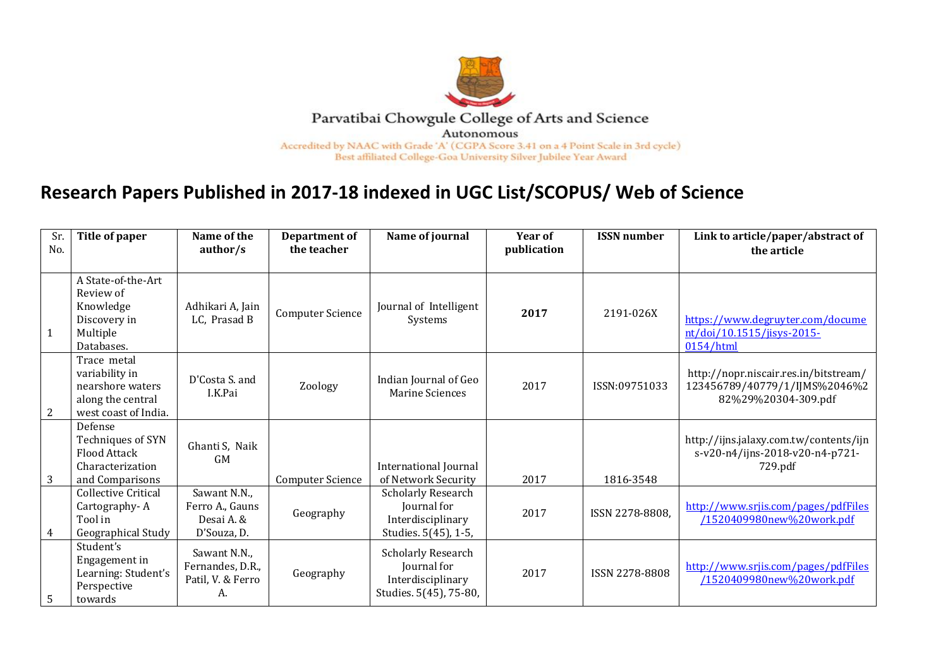

## **Research Papers Published in 2017-18 indexed in UGC List/SCOPUS/ Web of Science**

| Sr.<br>No.     | Title of paper                                                                                 | Name of the<br>author/s                                      | Department of<br>the teacher | Name of journal                                                                         | Year of<br>publication | <b>ISSN</b> number | Link to article/paper/abstract of<br>the article                                              |
|----------------|------------------------------------------------------------------------------------------------|--------------------------------------------------------------|------------------------------|-----------------------------------------------------------------------------------------|------------------------|--------------------|-----------------------------------------------------------------------------------------------|
| $\overline{1}$ | A State-of-the-Art<br>Review of<br>Knowledge<br>Discovery in<br>Multiple<br>Databases.         | Adhikari A, Jain<br>LC, Prasad B                             | <b>Computer Science</b>      | Journal of Intelligent<br>Systems                                                       | 2017                   | 2191-026X          | https://www.degruyter.com/docume<br>nt/doi/10.1515/jisys-2015-<br>0154/html                   |
| $\overline{2}$ | Trace metal<br>variability in<br>nearshore waters<br>along the central<br>west coast of India. | D'Costa S. and<br>I.K.Pai                                    | Zoology                      | Indian Journal of Geo<br><b>Marine Sciences</b>                                         | 2017                   | ISSN:09751033      | http://nopr.niscair.res.in/bitstream/<br>123456789/40779/1/IJMS%2046%2<br>82%29%20304-309.pdf |
| $\overline{3}$ | Defense<br>Techniques of SYN<br><b>Flood Attack</b><br>Characterization<br>and Comparisons     | Ghanti S, Naik<br><b>GM</b>                                  | <b>Computer Science</b>      | International Journal<br>of Network Security                                            | 2017                   | 1816-3548          | http://ijns.jalaxy.com.tw/contents/ijn<br>s-v20-n4/ijns-2018-v20-n4-p721-<br>729.pdf          |
| $\overline{4}$ | <b>Collective Critical</b><br>Cartography-A<br>Tool in<br>Geographical Study                   | Sawant N.N.,<br>Ferro A., Gauns<br>Desai A. &<br>D'Souza, D. | Geography                    | <b>Scholarly Research</b><br>Journal for<br>Interdisciplinary<br>Studies. 5(45), 1-5,   | 2017                   | ISSN 2278-8808.    | http://www.srjis.com/pages/pdfFiles<br>/1520409980new%20work.pdf                              |
| 5              | Student's<br>Engagement in<br>Learning: Student's<br>Perspective<br>towards                    | Sawant N.N.,<br>Fernandes, D.R.,<br>Patil, V. & Ferro<br>А.  | Geography                    | <b>Scholarly Research</b><br>Journal for<br>Interdisciplinary<br>Studies. 5(45), 75-80, | 2017                   | ISSN 2278-8808     | http://www.srjis.com/pages/pdfFiles<br>/1520409980new%20work.pdf                              |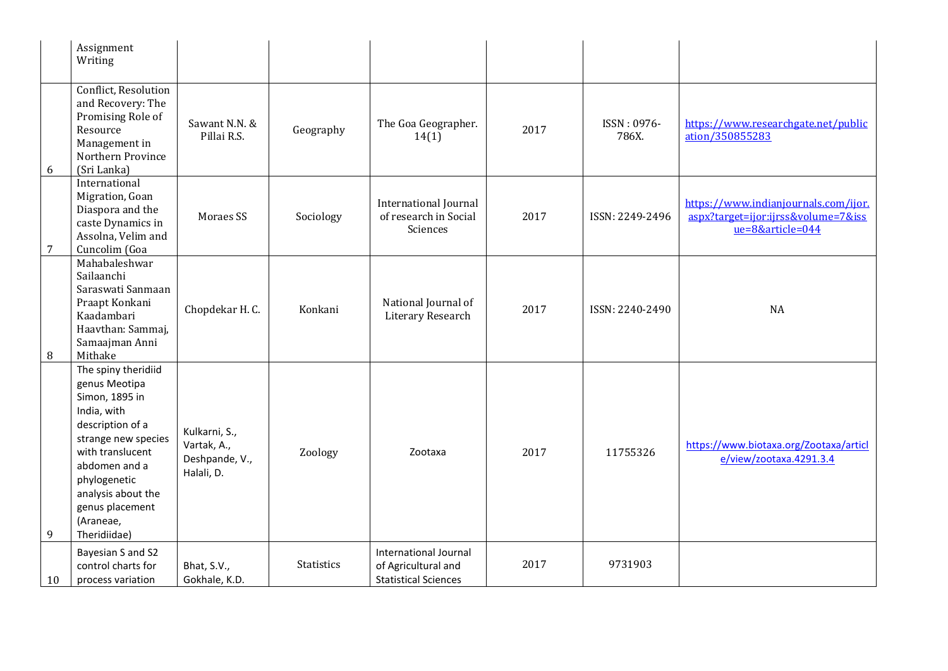|                | Assignment<br>Writing                                                                                                                                                                                                                       |                                                              |            |                                                                             |      |                      |                                                                                                 |
|----------------|---------------------------------------------------------------------------------------------------------------------------------------------------------------------------------------------------------------------------------------------|--------------------------------------------------------------|------------|-----------------------------------------------------------------------------|------|----------------------|-------------------------------------------------------------------------------------------------|
| 6              | Conflict, Resolution<br>and Recovery: The<br>Promising Role of<br>Resource<br>Management in<br>Northern Province<br>(Sri Lanka)                                                                                                             | Sawant N.N. &<br>Pillai R.S.                                 | Geography  | The Goa Geographer.<br>14(1)                                                | 2017 | ISSN: 0976-<br>786X. | https://www.researchgate.net/public<br>ation/350855283                                          |
| $\overline{7}$ | International<br>Migration, Goan<br>Diaspora and the<br>caste Dynamics in<br>Assolna, Velim and<br>Cuncolim (Goa                                                                                                                            | Moraes SS                                                    | Sociology  | International Journal<br>of research in Social<br>Sciences                  | 2017 | ISSN: 2249-2496      | https://www.indianjournals.com/ijor.<br>aspx?target=ijor:ijrss&volume=7&iss<br>ue=8&article=044 |
| 8              | Mahabaleshwar<br>Sailaanchi<br>Saraswati Sanmaan<br>Praapt Konkani<br>Kaadambari<br>Haavthan: Sammaj,<br>Samaajman Anni<br>Mithake                                                                                                          | Chopdekar H.C.                                               | Konkani    | National Journal of<br>Literary Research                                    | 2017 | ISSN: 2240-2490      | NA                                                                                              |
| 9              | The spiny theridiid<br>genus Meotipa<br>Simon, 1895 in<br>India, with<br>description of a<br>strange new species<br>with translucent<br>abdomen and a<br>phylogenetic<br>analysis about the<br>genus placement<br>(Araneae,<br>Theridiidae) | Kulkarni, S.,<br>Vartak, A.,<br>Deshpande, V.,<br>Halali, D. | Zoology    | Zootaxa                                                                     | 2017 | 11755326             | https://www.biotaxa.org/Zootaxa/articl<br>e/view/zootaxa.4291.3.4                               |
| 10             | Bayesian S and S2<br>control charts for<br>process variation                                                                                                                                                                                | Bhat, S.V.,<br>Gokhale, K.D.                                 | Statistics | International Journal<br>of Agricultural and<br><b>Statistical Sciences</b> | 2017 | 9731903              |                                                                                                 |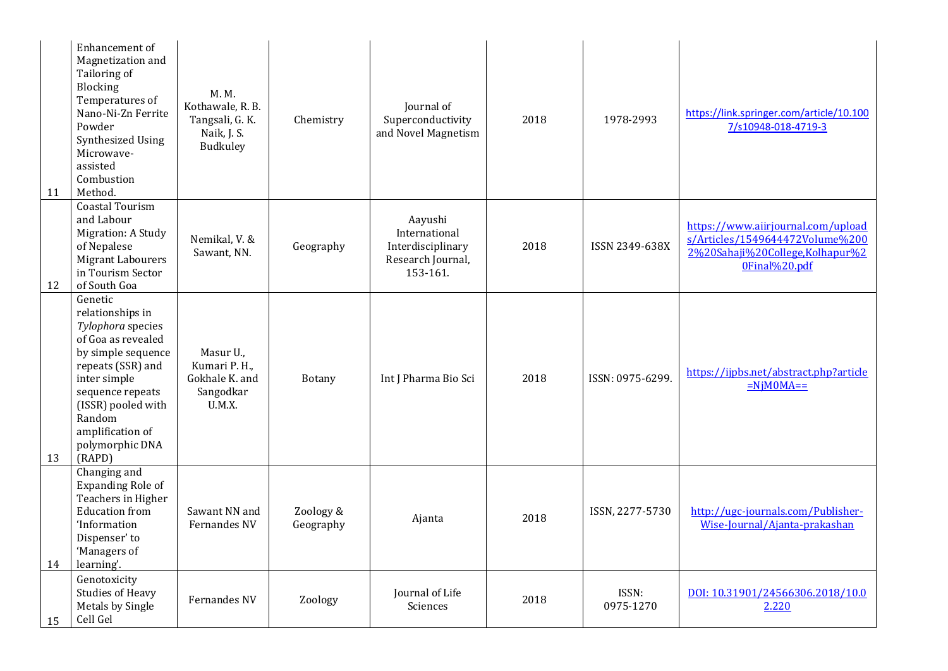| 11 | Enhancement of<br>Magnetization and<br>Tailoring of<br>Blocking<br>Temperatures of<br>Nano-Ni-Zn Ferrite<br>Powder<br>Synthesized Using<br>Microwave-<br>assisted<br>Combustion<br>Method.                                             | M. M.<br>Kothawale, R. B.<br>Tangsali, G. K.<br>Naik, J. S.<br>Budkuley | Chemistry              | Journal of<br>Superconductivity<br>and Novel Magnetism                         | 2018 | 1978-2993          | https://link.springer.com/article/10.100<br>7/s10948-018-4719-3                                                           |
|----|----------------------------------------------------------------------------------------------------------------------------------------------------------------------------------------------------------------------------------------|-------------------------------------------------------------------------|------------------------|--------------------------------------------------------------------------------|------|--------------------|---------------------------------------------------------------------------------------------------------------------------|
| 12 | <b>Coastal Tourism</b><br>and Labour<br>Migration: A Study<br>of Nepalese<br><b>Migrant Labourers</b><br>in Tourism Sector<br>of South Goa                                                                                             | Nemikal, V. &<br>Sawant, NN.                                            | Geography              | Aayushi<br>International<br>Interdisciplinary<br>Research Journal,<br>153-161. | 2018 | ISSN 2349-638X     | https://www.aiirjournal.com/upload<br>s/Articles/1549644472Volume%200<br>2%20Sahaji%20College,Kolhapur%2<br>0Final%20.pdf |
| 13 | Genetic<br>relationships in<br>Tylophora species<br>of Goa as revealed<br>by simple sequence<br>repeats (SSR) and<br>inter simple<br>sequence repeats<br>(ISSR) pooled with<br>Random<br>amplification of<br>polymorphic DNA<br>(RAPD) | Masur U.,<br>Kumari P. H.,<br>Gokhale K. and<br>Sangodkar<br>U.M.X.     | Botany                 | Int J Pharma Bio Sci                                                           | 2018 | ISSN: 0975-6299.   | https://ijpbs.net/abstract.php?article<br>$=NjM0MA==$                                                                     |
| 14 | Changing and<br><b>Expanding Role of</b><br>Teachers in Higher<br><b>Education</b> from<br>'Information<br>Dispenser' to<br>'Managers of<br>learning'.                                                                                 | Sawant NN and<br><b>Fernandes NV</b>                                    | Zoology &<br>Geography | Ajanta                                                                         | 2018 | ISSN, 2277-5730    | http://ugc-journals.com/Publisher-<br>Wise-Journal/Ajanta-prakashan                                                       |
| 15 | Genotoxicity<br><b>Studies of Heavy</b><br>Metals by Single<br>Cell Gel                                                                                                                                                                | <b>Fernandes NV</b>                                                     | Zoology                | Journal of Life<br>Sciences                                                    | 2018 | ISSN:<br>0975-1270 | DOI: 10.31901/24566306.2018/10.0<br>2.220                                                                                 |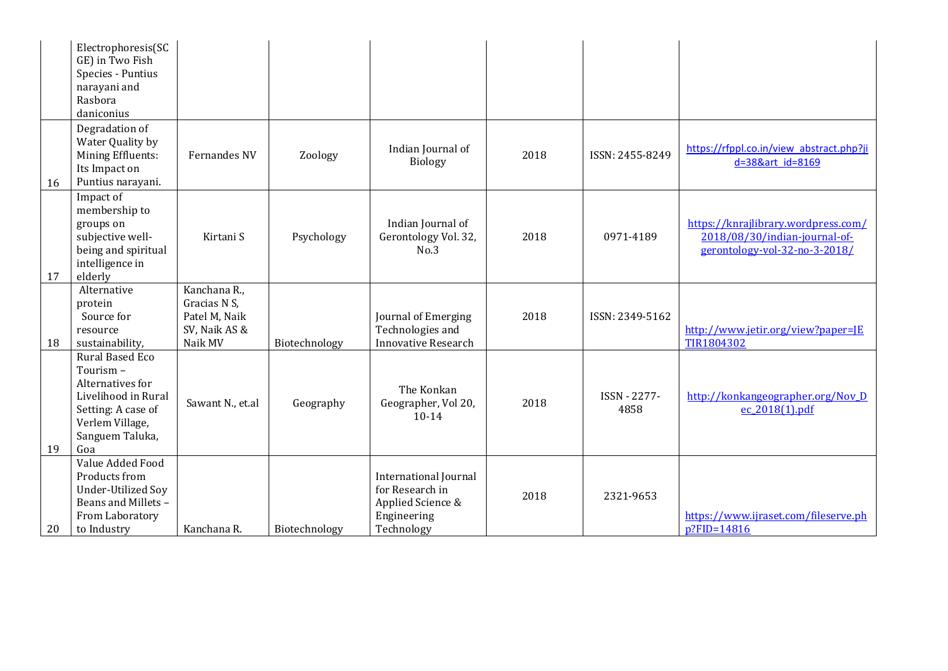|    | Electrophoresis(SC<br>GE) in Two Fish<br>Species - Puntius<br>narayani and<br>Rasbora                                                            |                                                                           |               |                                                                                                   |      |                      |                                                                                                       |
|----|--------------------------------------------------------------------------------------------------------------------------------------------------|---------------------------------------------------------------------------|---------------|---------------------------------------------------------------------------------------------------|------|----------------------|-------------------------------------------------------------------------------------------------------|
| 16 | daniconius<br>Degradation of<br>Water Quality by<br>Mining Effluents:<br>Its Impact on<br>Puntius narayani.                                      | Fernandes NV                                                              | Zoology       | Indian Journal of<br><b>Biology</b>                                                               | 2018 | ISSN: 2455-8249      | https://rfppl.co.in/view abstract.php?ji<br>d=38&art id=8169                                          |
| 17 | Impact of<br>membership to<br>groups on<br>subjective well-<br>being and spiritual<br>intelligence in<br>elderly                                 | Kirtani S                                                                 | Psychology    | Indian Journal of<br>Gerontology Vol. 32,<br>No.3                                                 | 2018 | 0971-4189            | https://knrajlibrary.wordpress.com/<br>2018/08/30/indian-journal-of-<br>gerontology-vol-32-no-3-2018/ |
| 18 | Alternative<br>protein<br>Source for<br>resource<br>sustainability,                                                                              | Kanchana R.,<br>Gracias N S,<br>Patel M, Naik<br>SV, Naik AS &<br>Naik MV | Biotechnology | Journal of Emerging<br>Technologies and<br><b>Innovative Research</b>                             | 2018 | ISSN: 2349-5162      | http://www.jetir.org/view?paper=JE<br>TIR1804302                                                      |
| 19 | <b>Rural Based Eco</b><br>Tourism-<br>Alternatives for<br>Livelihood in Rural<br>Setting: A case of<br>Verlem Village,<br>Sanguem Taluka,<br>Goa | Sawant N., et.al                                                          | Geography     | The Konkan<br>Geographer, Vol 20,<br>$10 - 14$                                                    | 2018 | ISSN - 2277-<br>4858 | http://konkangeographer.org/Nov_D<br>ec 2018(1).pdf                                                   |
| 20 | Value Added Food<br>Products from<br><b>Under-Utilized Soy</b><br>Beans and Millets -<br>From Laboratory<br>to Industry                          | Kanchana R.                                                               | Biotechnology | <b>International Journal</b><br>for Research in<br>Applied Science &<br>Engineering<br>Technology | 2018 | 2321-9653            | https://www.ijraset.com/fileserve.ph<br>$p$ ?FID=14816                                                |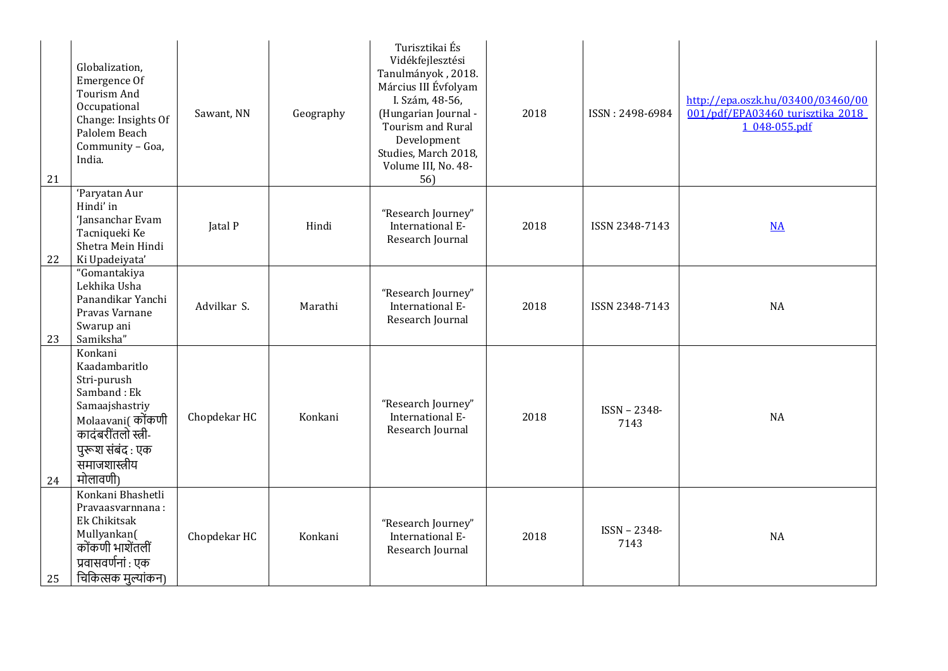| 21 | Globalization,<br>Emergence Of<br><b>Tourism And</b><br>Occupational<br>Change: Insights Of<br>Palolem Beach<br>Community - Goa,<br>India.                         | Sawant, NN   | Geography | Turisztikai És<br>Vidékfejlesztési<br>Tanulmányok, 2018.<br>Március III Évfolyam<br>I. Szám, 48-56,<br>(Hungarian Journal -<br>Tourism and Rural<br>Development<br>Studies, March 2018,<br>Volume III, No. 48-<br>56) | 2018 | ISSN: 2498-6984      | http://epa.oszk.hu/03400/03460/00<br>001/pdf/EPA03460 turisztika 2018<br>1 048-055.pdf |
|----|--------------------------------------------------------------------------------------------------------------------------------------------------------------------|--------------|-----------|-----------------------------------------------------------------------------------------------------------------------------------------------------------------------------------------------------------------------|------|----------------------|----------------------------------------------------------------------------------------|
| 22 | 'Paryatan Aur<br>Hindi' in<br>'Jansanchar Evam<br>Tacniqueki Ke<br>Shetra Mein Hindi<br>Ki Upadeiyata'                                                             | Jatal P      | Hindi     | "Research Journey"<br>International E-<br>Research Journal                                                                                                                                                            | 2018 | ISSN 2348-7143       | $NA$                                                                                   |
| 23 | "Gomantakiya<br>Lekhika Usha<br>Panandikar Yanchi<br>Pravas Varnane<br>Swarup ani<br>Samiksha"                                                                     | Advilkar S.  | Marathi   | "Research Journey"<br>International E-<br>Research Journal                                                                                                                                                            | 2018 | ISSN 2348-7143       | NA                                                                                     |
| 24 | Konkani<br>Kaadambaritlo<br>Stri-purush<br>Samband: Ek<br>Samaajshastriy<br>Molaavani(कोंकणी<br>कादंबरींतलो स्त्री-<br>पुरूश संबंद: एक<br>समाजशास्त्रीय<br>मोलावणी | Chopdekar HC | Konkani   | "Research Journey"<br>International E-<br>Research Journal                                                                                                                                                            | 2018 | ISSN - 2348-<br>7143 | NA                                                                                     |
| 25 | Konkani Bhashetli<br>Pravaasvarnnana:<br>Ek Chikitsak<br>Mullyankan(<br>कोंकणी भाशेंतलीं<br>प्रवासवर्णनां : एक<br>चिकित्सक मुल्यांकन)                              | Chopdekar HC | Konkani   | "Research Journey"<br>International E-<br>Research Journal                                                                                                                                                            | 2018 | ISSN - 2348-<br>7143 | <b>NA</b>                                                                              |